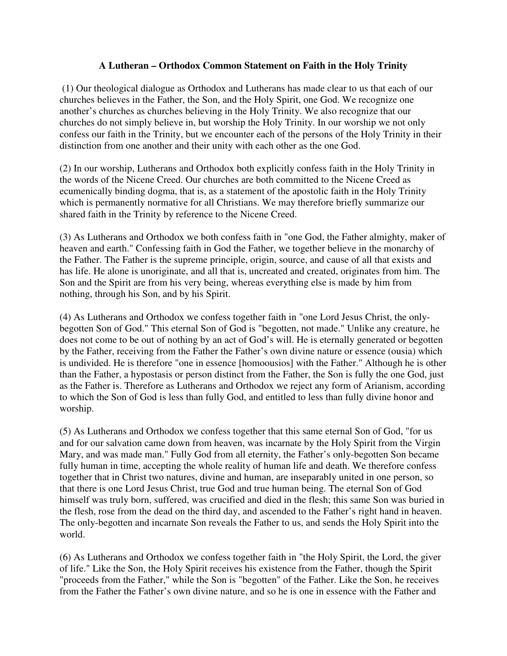## **A Lutheran – Orthodox Common Statement on Faith in the Holy Trinity**

 (1) Our theological dialogue as Orthodox and Lutherans has made clear to us that each of our churches believes in the Father, the Son, and the Holy Spirit, one God. We recognize one another's churches as churches believing in the Holy Trinity. We also recognize that our churches do not simply believe in, but worship the Holy Trinity. In our worship we not only confess our faith in the Trinity, but we encounter each of the persons of the Holy Trinity in their distinction from one another and their unity with each other as the one God.

(2) In our worship, Lutherans and Orthodox both explicitly confess faith in the Holy Trinity in the words of the Nicene Creed. Our churches are both committed to the Nicene Creed as ecumenically binding dogma, that is, as a statement of the apostolic faith in the Holy Trinity which is permanently normative for all Christians. We may therefore briefly summarize our shared faith in the Trinity by reference to the Nicene Creed.

(3) As Lutherans and Orthodox we both confess faith in "one God, the Father almighty, maker of heaven and earth." Confessing faith in God the Father, we together believe in the monarchy of the Father. The Father is the supreme principle, origin, source, and cause of all that exists and has life. He alone is unoriginate, and all that is, uncreated and created, originates from him. The Son and the Spirit are from his very being, whereas everything else is made by him from nothing, through his Son, and by his Spirit.

(4) As Lutherans and Orthodox we confess together faith in "one Lord Jesus Christ, the onlybegotten Son of God." This eternal Son of God is "begotten, not made." Unlike any creature, he does not come to be out of nothing by an act of God's will. He is eternally generated or begotten by the Father, receiving from the Father the Father's own divine nature or essence (ousia) which is undivided. He is therefore "one in essence [homoousios] with the Father." Although he is other than the Father, a hypostasis or person distinct from the Father, the Son is fully the one God, just as the Father is. Therefore as Lutherans and Orthodox we reject any form of Arianism, according to which the Son of God is less than fully God, and entitled to less than fully divine honor and worship.

(5) As Lutherans and Orthodox we confess together that this same eternal Son of God, "for us and for our salvation came down from heaven, was incarnate by the Holy Spirit from the Virgin Mary, and was made man." Fully God from all eternity, the Father's only-begotten Son became fully human in time, accepting the whole reality of human life and death. We therefore confess together that in Christ two natures, divine and human, are inseparably united in one person, so that there is one Lord Jesus Christ, true God and true human being. The eternal Son of God himself was truly born, suffered, was crucified and died in the flesh; this same Son was buried in the flesh, rose from the dead on the third day, and ascended to the Father's right hand in heaven. The only-begotten and incarnate Son reveals the Father to us, and sends the Holy Spirit into the world.

(6) As Lutherans and Orthodox we confess together faith in "the Holy Spirit, the Lord, the giver of life." Like the Son, the Holy Spirit receives his existence from the Father, though the Spirit "proceeds from the Father," while the Son is "begotten" of the Father. Like the Son, he receives from the Father the Father's own divine nature, and so he is one in essence with the Father and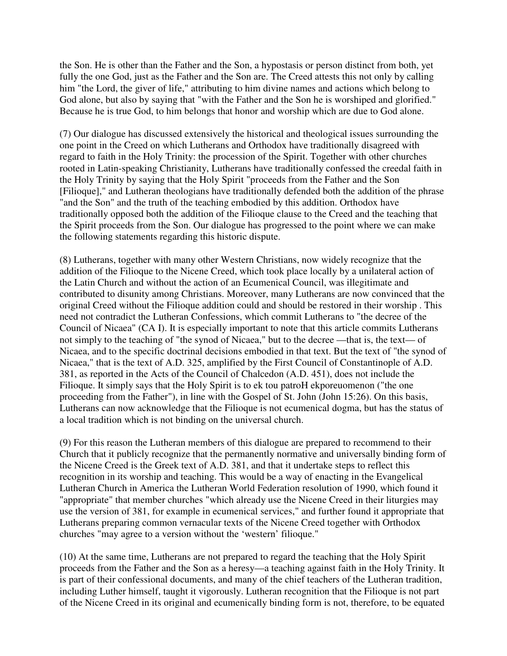the Son. He is other than the Father and the Son, a hypostasis or person distinct from both, yet fully the one God, just as the Father and the Son are. The Creed attests this not only by calling him "the Lord, the giver of life," attributing to him divine names and actions which belong to God alone, but also by saying that "with the Father and the Son he is worshiped and glorified." Because he is true God, to him belongs that honor and worship which are due to God alone.

(7) Our dialogue has discussed extensively the historical and theological issues surrounding the one point in the Creed on which Lutherans and Orthodox have traditionally disagreed with regard to faith in the Holy Trinity: the procession of the Spirit. Together with other churches rooted in Latin-speaking Christianity, Lutherans have traditionally confessed the creedal faith in the Holy Trinity by saying that the Holy Spirit "proceeds from the Father and the Son [Filioque]," and Lutheran theologians have traditionally defended both the addition of the phrase "and the Son" and the truth of the teaching embodied by this addition. Orthodox have traditionally opposed both the addition of the Filioque clause to the Creed and the teaching that the Spirit proceeds from the Son. Our dialogue has progressed to the point where we can make the following statements regarding this historic dispute.

(8) Lutherans, together with many other Western Christians, now widely recognize that the addition of the Filioque to the Nicene Creed, which took place locally by a unilateral action of the Latin Church and without the action of an Ecumenical Council, was illegitimate and contributed to disunity among Christians. Moreover, many Lutherans are now convinced that the original Creed without the Filioque addition could and should be restored in their worship . This need not contradict the Lutheran Confessions, which commit Lutherans to "the decree of the Council of Nicaea" (CA I). It is especially important to note that this article commits Lutherans not simply to the teaching of "the synod of Nicaea," but to the decree —that is, the text— of Nicaea, and to the specific doctrinal decisions embodied in that text. But the text of "the synod of Nicaea," that is the text of A.D. 325, amplified by the First Council of Constantinople of A.D. 381, as reported in the Acts of the Council of Chalcedon (A.D. 451), does not include the Filioque. It simply says that the Holy Spirit is to ek tou patroH ekporeuomenon ("the one proceeding from the Father"), in line with the Gospel of St. John (John 15:26). On this basis, Lutherans can now acknowledge that the Filioque is not ecumenical dogma, but has the status of a local tradition which is not binding on the universal church.

(9) For this reason the Lutheran members of this dialogue are prepared to recommend to their Church that it publicly recognize that the permanently normative and universally binding form of the Nicene Creed is the Greek text of A.D. 381, and that it undertake steps to reflect this recognition in its worship and teaching. This would be a way of enacting in the Evangelical Lutheran Church in America the Lutheran World Federation resolution of 1990, which found it "appropriate" that member churches "which already use the Nicene Creed in their liturgies may use the version of 381, for example in ecumenical services," and further found it appropriate that Lutherans preparing common vernacular texts of the Nicene Creed together with Orthodox churches "may agree to a version without the 'western' filioque."

(10) At the same time, Lutherans are not prepared to regard the teaching that the Holy Spirit proceeds from the Father and the Son as a heresy—a teaching against faith in the Holy Trinity. It is part of their confessional documents, and many of the chief teachers of the Lutheran tradition, including Luther himself, taught it vigorously. Lutheran recognition that the Filioque is not part of the Nicene Creed in its original and ecumenically binding form is not, therefore, to be equated